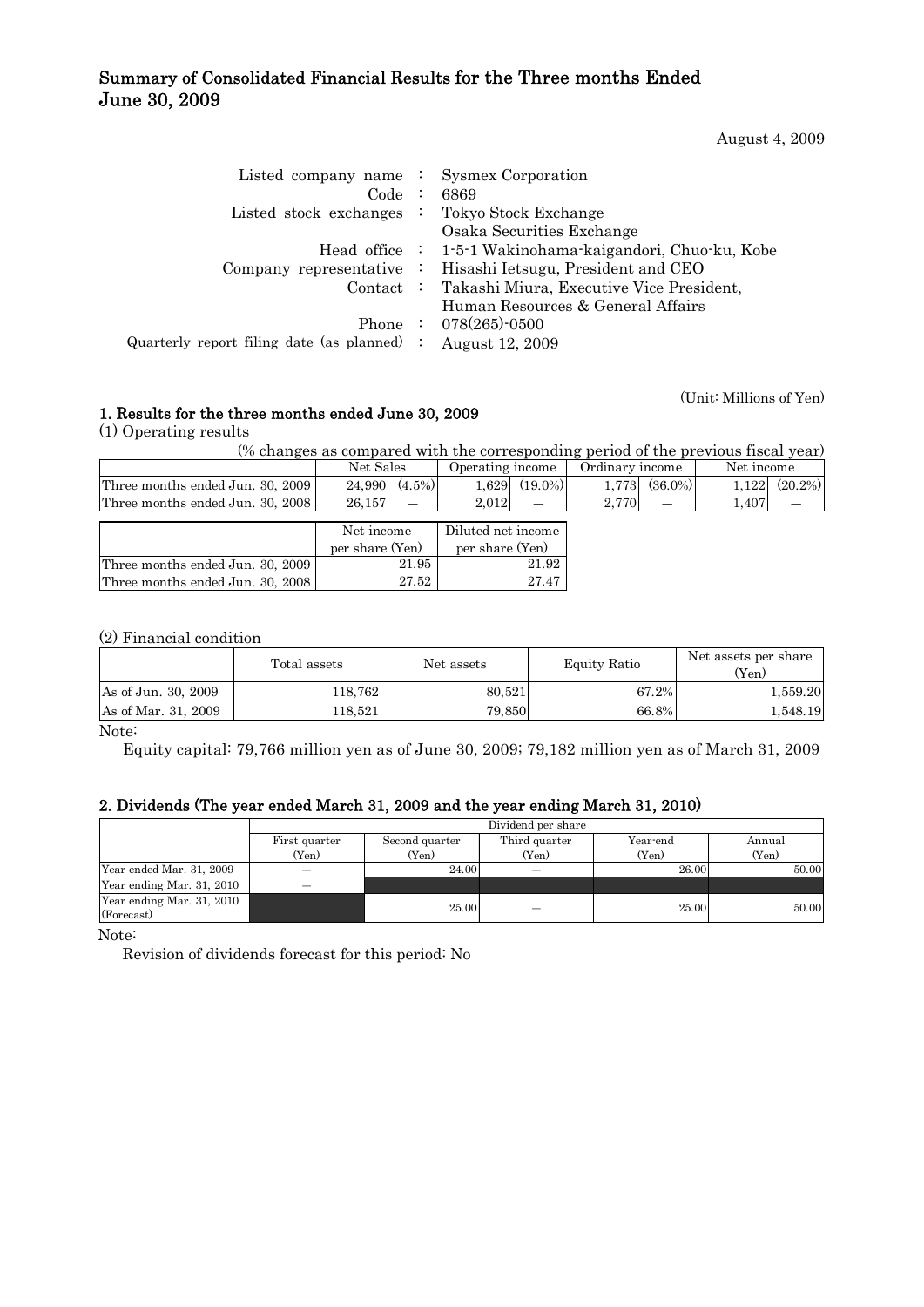## Summary of Consolidated Financial Results for the Three months Ended June 30, 2009

August 4, 2009

(Unit: Millions of Yen)

| Listed company name $\therefore$ Sysmex Corporation          |                                                             |
|--------------------------------------------------------------|-------------------------------------------------------------|
| Code:                                                        | 6869                                                        |
| Listed stock exchanges $\therefore$ Tokyo Stock Exchange     |                                                             |
|                                                              | Osaka Securities Exchange                                   |
|                                                              | Head office : 1-5-1 Wakinohama-kaigandori, Chuo-ku, Kobe    |
|                                                              | Company representative : Hisashi Ietsugu, President and CEO |
|                                                              | Contact : Takashi Miura, Executive Vice President,          |
|                                                              | Human Resources & General Affairs                           |
|                                                              | Phone : $078(265)$ -0500                                    |
| Quarterly report filing date (as planned) : August $12,2009$ |                                                             |
|                                                              |                                                             |

1. Results for the three months ended June 30, 2009

(1) Operating results

(% changes as compared with the corresponding period of the previous fiscal year)

| $\sqrt{2}$ changes as compared while the corresponding period or the previous histary |                     |                     |                     |                     |  |  |  |  |  |  |  |
|---------------------------------------------------------------------------------------|---------------------|---------------------|---------------------|---------------------|--|--|--|--|--|--|--|
|                                                                                       | Net Sales           | Operating income    | Ordinary income     | Net income          |  |  |  |  |  |  |  |
| Three months ended Jun. 30, 2009                                                      | $(4.5\%)$<br>24.990 | $(19.0\%)$<br>1.629 | $(36.0\%)$<br>1,773 | $(20.2\%)$<br>1.122 |  |  |  |  |  |  |  |
| Three months ended Jun. 30, 2008                                                      | 26,157              | 2.012               | 2,770               | 1,407               |  |  |  |  |  |  |  |
|                                                                                       |                     |                     |                     |                     |  |  |  |  |  |  |  |
|                                                                                       | Net income          | Diluted net income  |                     |                     |  |  |  |  |  |  |  |
|                                                                                       | per share (Yen)     | per share (Yen)     |                     |                     |  |  |  |  |  |  |  |
|                                                                                       |                     |                     |                     |                     |  |  |  |  |  |  |  |
| Three months ended Jun. 30, 2009                                                      | 21.95               | 21.92               |                     |                     |  |  |  |  |  |  |  |

## (2) Financial condition

|                     | Total assets | Net assets | <b>Equity Ratio</b> | Net assets per share<br>$Y_{en}$ |  |
|---------------------|--------------|------------|---------------------|----------------------------------|--|
| As of Jun. 30, 2009 | 118.762      | 80.521     | 67.2%               | 1,559.20                         |  |
| As of Mar. 31, 2009 | 118.521      | 79.850     | 66.8%               | 1,548.19                         |  |

Note:

Equity capital: 79,766 million yen as of June 30, 2009; 79,182 million yen as of March 31, 2009

## 2. Dividends (The year ended March 31, 2009 and the year ending March 31, 2010)

|                           | Dividend per share |                |               |          |        |  |  |  |  |
|---------------------------|--------------------|----------------|---------------|----------|--------|--|--|--|--|
|                           | First quarter      | Second quarter | Third quarter | Year-end | Annual |  |  |  |  |
|                           | (Yen)              | (Yen)          | (Yen)         | (Yen)    | (Yen)  |  |  |  |  |
| Year ended Mar. 31, 2009  |                    | 24.00          |               | 26.00    | 50.00  |  |  |  |  |
| Year ending Mar. 31, 2010 |                    |                |               |          |        |  |  |  |  |
| Year ending Mar. 31, 2010 |                    | 25.00          |               | 25.00    | 50.00  |  |  |  |  |
| (Forecast)                |                    |                |               |          |        |  |  |  |  |

Note:

Revision of dividends forecast for this period: No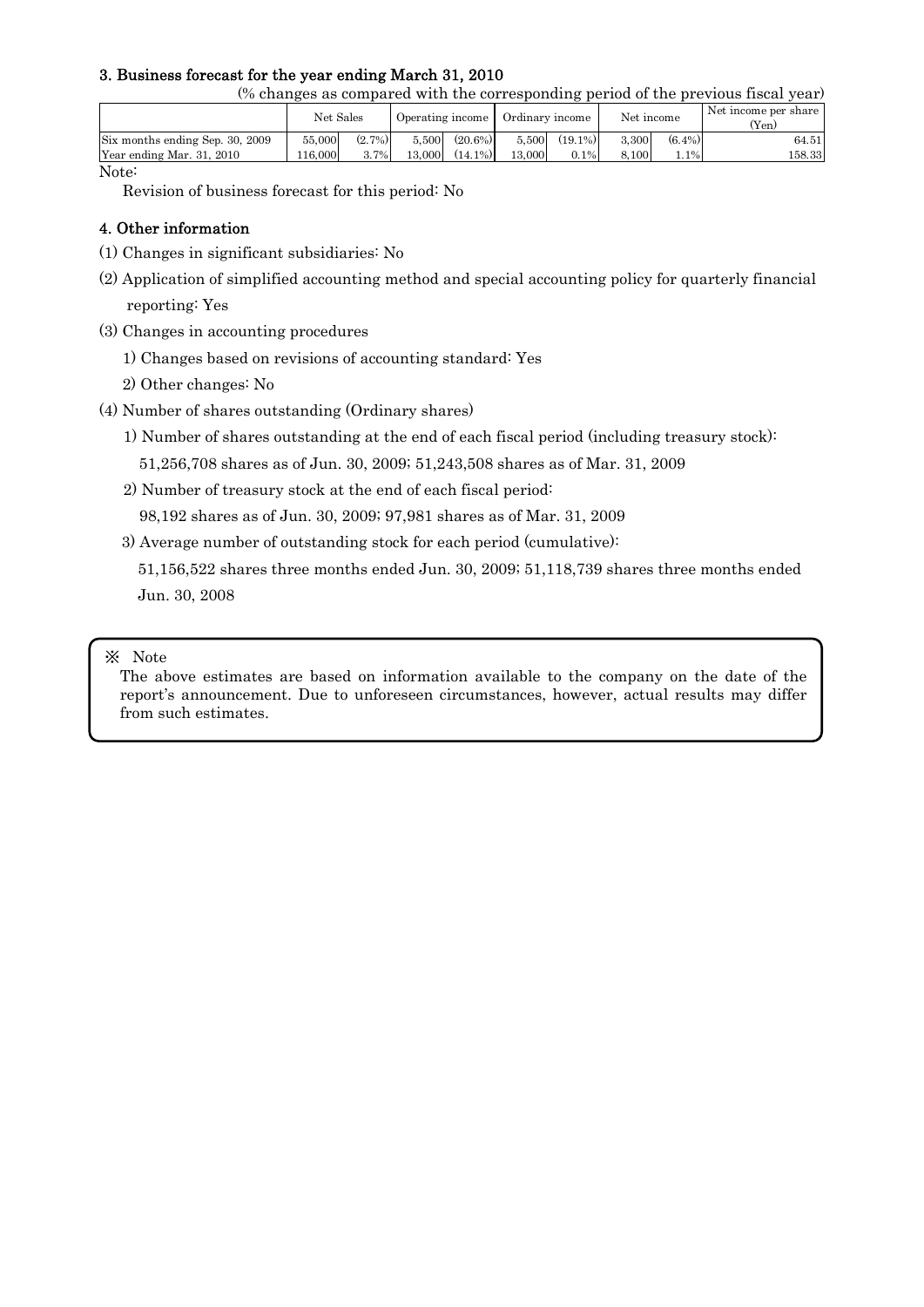## 3. Business forecast for the year ending March 31, 2010

(% changes as compared with the corresponding period of the previous fiscal year)

|                                 | Net Sales |           | Operating income |            | Ordinary income |            | Net income |           | Net income per share<br>(Yen) |
|---------------------------------|-----------|-----------|------------------|------------|-----------------|------------|------------|-----------|-------------------------------|
| Six months ending Sep. 30, 2009 | 55,000    | $(2.7\%)$ | 5.500            | $(20.6\%)$ | 5,500           | $(19.1\%)$ | 3.300      | $(6.4\%)$ | 64.51                         |
| Year ending Mar. 31, 2010       | 16,000    | $3.7\%$   | 13,000           | $(14.1\%)$ | 13,000          | $0.1\%$    | 8.100      | $1.1\%$   | 158.33                        |

Note:

Revision of business forecast for this period: No

## 4. Other information

- (1) Changes in significant subsidiaries: No
- (2) Application of simplified accounting method and special accounting policy for quarterly financial reporting: Yes
- (3) Changes in accounting procedures
	- 1) Changes based on revisions of accounting standard: Yes
	- 2) Other changes: No
- (4) Number of shares outstanding (Ordinary shares)
	- 1) Number of shares outstanding at the end of each fiscal period (including treasury stock):

51,256,708 shares as of Jun. 30, 2009; 51,243,508 shares as of Mar. 31, 2009

2) Number of treasury stock at the end of each fiscal period:

98,192 shares as of Jun. 30, 2009; 97,981 shares as of Mar. 31, 2009

3) Average number of outstanding stock for each period (cumulative):

 51,156,522 shares three months ended Jun. 30, 2009; 51,118,739 shares three months ended Jun. 30, 2008

### ※ Note

The above estimates are based on information available to the company on the date of the report's announcement. Due to unforeseen circumstances, however, actual results may differ from such estimates.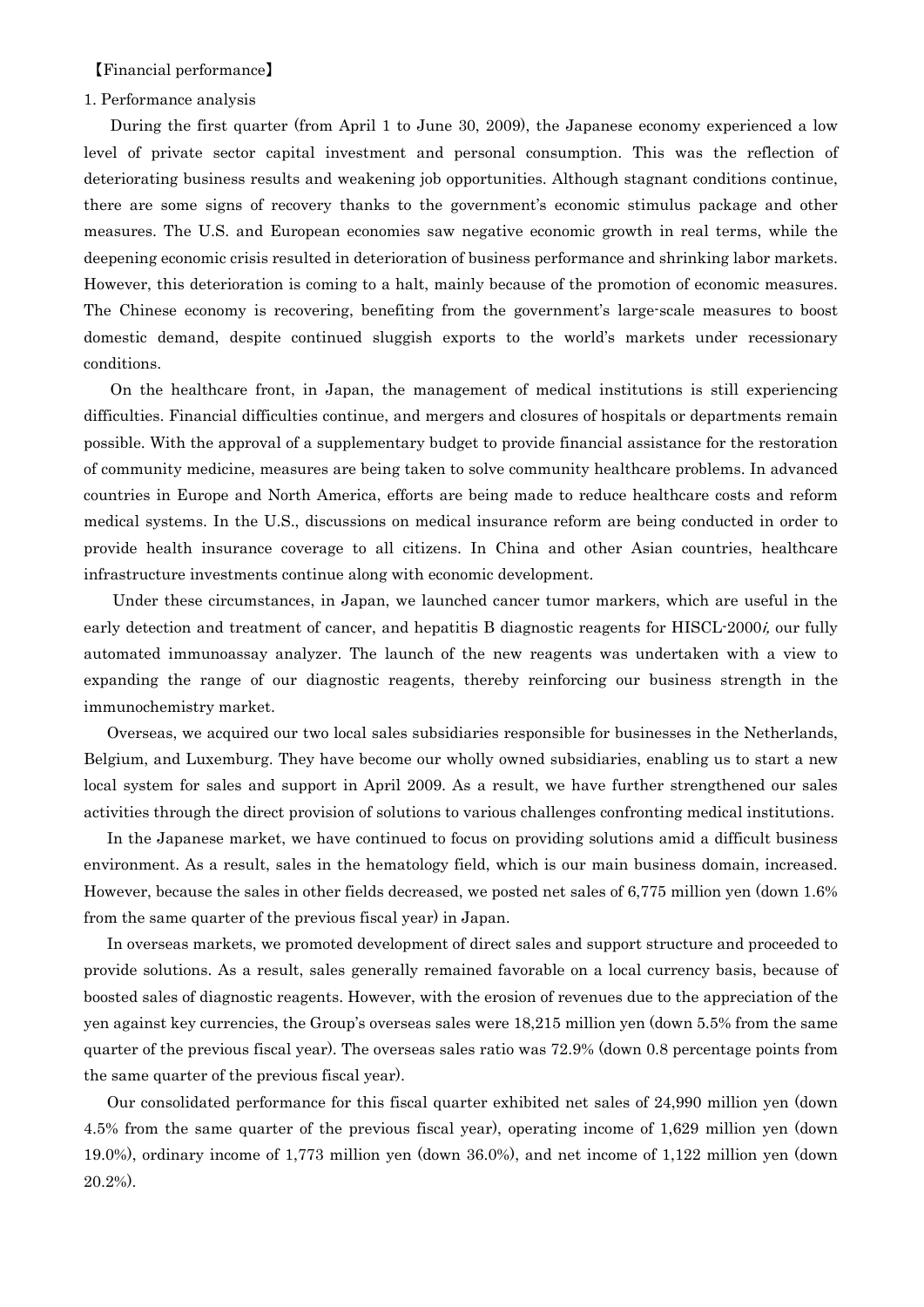【Financial performance】

#### 1. Performance analysis

During the first quarter (from April 1 to June 30, 2009), the Japanese economy experienced a low level of private sector capital investment and personal consumption. This was the reflection of deteriorating business results and weakening job opportunities. Although stagnant conditions continue, there are some signs of recovery thanks to the government's economic stimulus package and other measures. The U.S. and European economies saw negative economic growth in real terms, while the deepening economic crisis resulted in deterioration of business performance and shrinking labor markets. However, this deterioration is coming to a halt, mainly because of the promotion of economic measures. The Chinese economy is recovering, benefiting from the government's large-scale measures to boost domestic demand, despite continued sluggish exports to the world's markets under recessionary conditions.

On the healthcare front, in Japan, the management of medical institutions is still experiencing difficulties. Financial difficulties continue, and mergers and closures of hospitals or departments remain possible. With the approval of a supplementary budget to provide financial assistance for the restoration of community medicine, measures are being taken to solve community healthcare problems. In advanced countries in Europe and North America, efforts are being made to reduce healthcare costs and reform medical systems. In the U.S., discussions on medical insurance reform are being conducted in order to provide health insurance coverage to all citizens. In China and other Asian countries, healthcare infrastructure investments continue along with economic development.

Under these circumstances, in Japan, we launched cancer tumor markers, which are useful in the early detection and treatment of cancer, and hepatitis B diagnostic reagents for HISCL-2000*i*, our fully automated immunoassay analyzer. The launch of the new reagents was undertaken with a view to expanding the range of our diagnostic reagents, thereby reinforcing our business strength in the immunochemistry market.

 Overseas, we acquired our two local sales subsidiaries responsible for businesses in the Netherlands, Belgium, and Luxemburg. They have become our wholly owned subsidiaries, enabling us to start a new local system for sales and support in April 2009. As a result, we have further strengthened our sales activities through the direct provision of solutions to various challenges confronting medical institutions.

 In the Japanese market, we have continued to focus on providing solutions amid a difficult business environment. As a result, sales in the hematology field, which is our main business domain, increased. However, because the sales in other fields decreased, we posted net sales of 6,775 million yen (down 1.6% from the same quarter of the previous fiscal year) in Japan.

 In overseas markets, we promoted development of direct sales and support structure and proceeded to provide solutions. As a result, sales generally remained favorable on a local currency basis, because of boosted sales of diagnostic reagents. However, with the erosion of revenues due to the appreciation of the yen against key currencies, the Group's overseas sales were 18,215 million yen (down 5.5% from the same quarter of the previous fiscal year). The overseas sales ratio was 72.9% (down 0.8 percentage points from the same quarter of the previous fiscal year).

 Our consolidated performance for this fiscal quarter exhibited net sales of 24,990 million yen (down 4.5% from the same quarter of the previous fiscal year), operating income of 1,629 million yen (down 19.0%), ordinary income of 1,773 million yen (down 36.0%), and net income of 1,122 million yen (down 20.2%).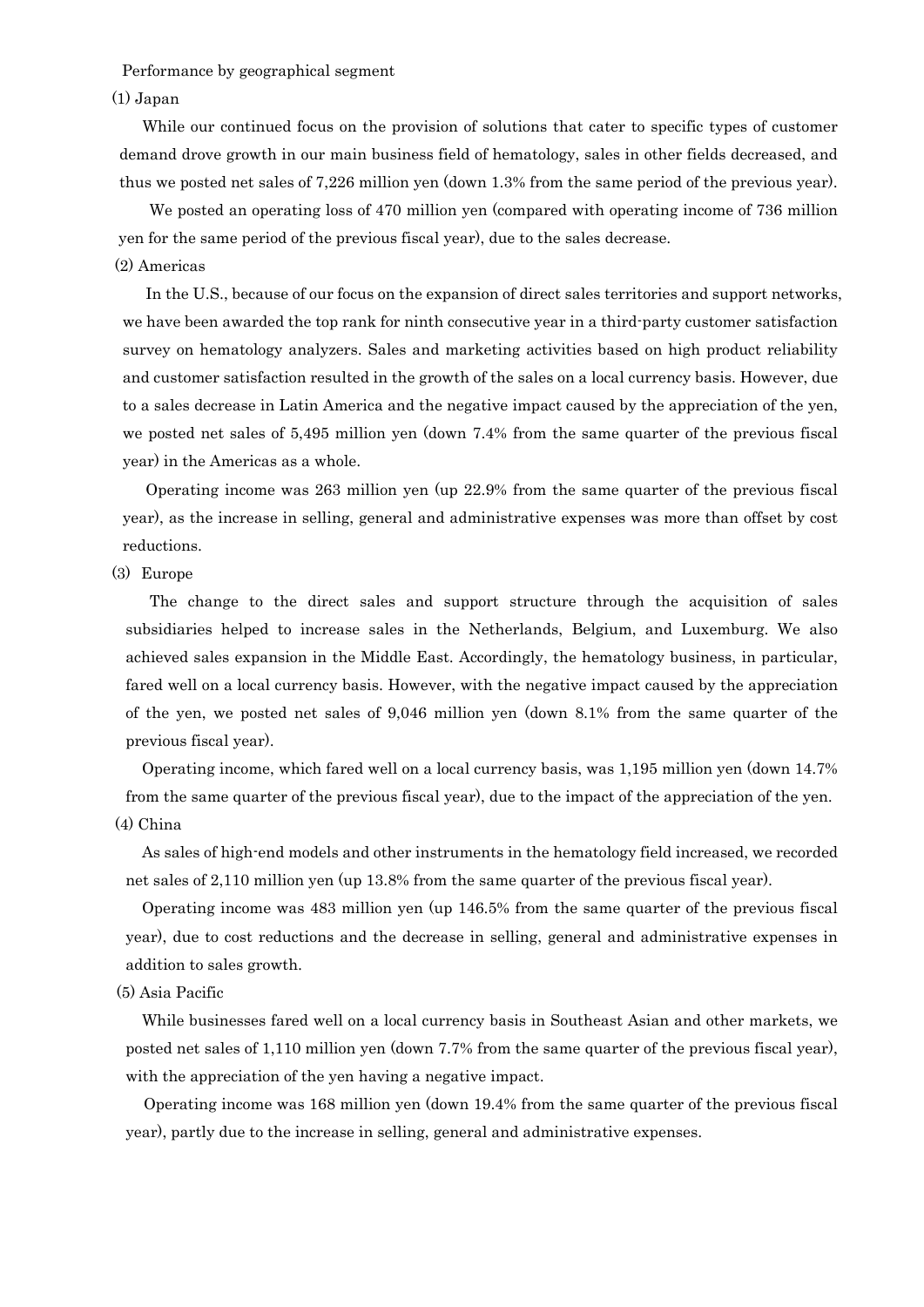Performance by geographical segment

#### (1) Japan

 While our continued focus on the provision of solutions that cater to specific types of customer demand drove growth in our main business field of hematology, sales in other fields decreased, and thus we posted net sales of 7,226 million yen (down 1.3% from the same period of the previous year).

 We posted an operating loss of 470 million yen (compared with operating income of 736 million yen for the same period of the previous fiscal year), due to the sales decrease. (2) Americas

 In the U.S., because of our focus on the expansion of direct sales territories and support networks, we have been awarded the top rank for ninth consecutive year in a third-party customer satisfaction survey on hematology analyzers. Sales and marketing activities based on high product reliability and customer satisfaction resulted in the growth of the sales on a local currency basis. However, due to a sales decrease in Latin America and the negative impact caused by the appreciation of the yen, we posted net sales of 5,495 million yen (down 7.4% from the same quarter of the previous fiscal year) in the Americas as a whole.

 Operating income was 263 million yen (up 22.9% from the same quarter of the previous fiscal year), as the increase in selling, general and administrative expenses was more than offset by cost reductions.

#### (3) Europe

 The change to the direct sales and support structure through the acquisition of sales subsidiaries helped to increase sales in the Netherlands, Belgium, and Luxemburg. We also achieved sales expansion in the Middle East. Accordingly, the hematology business, in particular, fared well on a local currency basis. However, with the negative impact caused by the appreciation of the yen, we posted net sales of 9,046 million yen (down 8.1% from the same quarter of the previous fiscal year).

Operating income, which fared well on a local currency basis, was 1,195 million yen (down 14.7% from the same quarter of the previous fiscal year), due to the impact of the appreciation of the yen. (4) China

As sales of high-end models and other instruments in the hematology field increased, we recorded net sales of 2,110 million yen (up 13.8% from the same quarter of the previous fiscal year).

Operating income was 483 million yen (up 146.5% from the same quarter of the previous fiscal year), due to cost reductions and the decrease in selling, general and administrative expenses in addition to sales growth.

#### (5) Asia Pacific

While businesses fared well on a local currency basis in Southeast Asian and other markets, we posted net sales of 1,110 million yen (down 7.7% from the same quarter of the previous fiscal year), with the appreciation of the yen having a negative impact.

 Operating income was 168 million yen (down 19.4% from the same quarter of the previous fiscal year), partly due to the increase in selling, general and administrative expenses.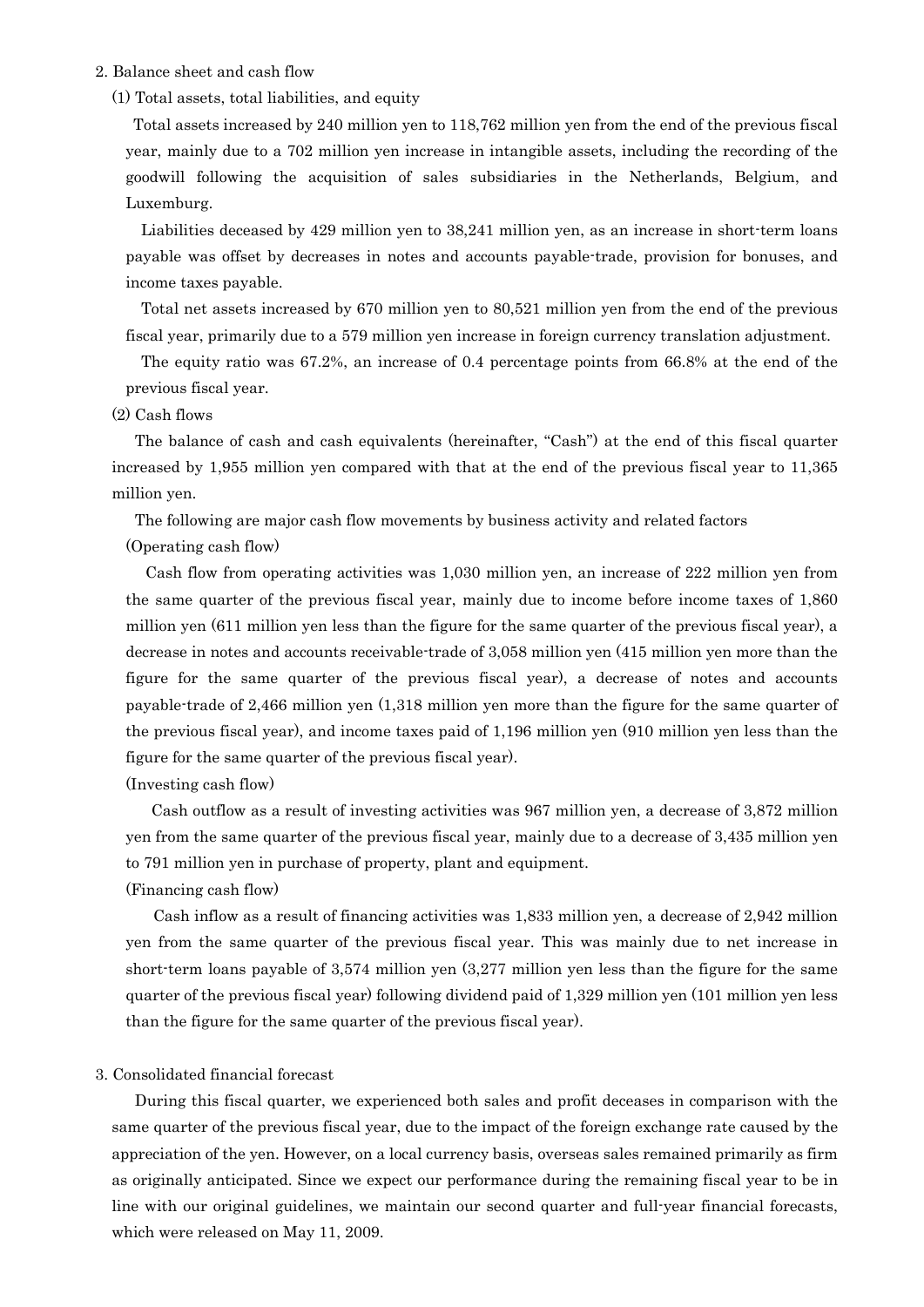#### 2. Balance sheet and cash flow

(1) Total assets, total liabilities, and equity

Total assets increased by 240 million yen to 118,762 million yen from the end of the previous fiscal year, mainly due to a 702 million yen increase in intangible assets, including the recording of the goodwill following the acquisition of sales subsidiaries in the Netherlands, Belgium, and Luxemburg.

 Liabilities deceased by 429 million yen to 38,241 million yen, as an increase in short-term loans payable was offset by decreases in notes and accounts payable-trade, provision for bonuses, and income taxes payable.

 Total net assets increased by 670 million yen to 80,521 million yen from the end of the previous fiscal year, primarily due to a 579 million yen increase in foreign currency translation adjustment.

 The equity ratio was 67.2%, an increase of 0.4 percentage points from 66.8% at the end of the previous fiscal year.

#### (2) Cash flows

 The balance of cash and cash equivalents (hereinafter, "Cash") at the end of this fiscal quarter increased by 1,955 million yen compared with that at the end of the previous fiscal year to 11,365 million yen.

The following are major cash flow movements by business activity and related factors

(Operating cash flow)

 Cash flow from operating activities was 1,030 million yen, an increase of 222 million yen from the same quarter of the previous fiscal year, mainly due to income before income taxes of 1,860 million yen (611 million yen less than the figure for the same quarter of the previous fiscal year), a decrease in notes and accounts receivable-trade of 3,058 million yen (415 million yen more than the figure for the same quarter of the previous fiscal year), a decrease of notes and accounts payable-trade of 2,466 million yen (1,318 million yen more than the figure for the same quarter of the previous fiscal year), and income taxes paid of 1,196 million yen (910 million yen less than the figure for the same quarter of the previous fiscal year).

(Investing cash flow)

 Cash outflow as a result of investing activities was 967 million yen, a decrease of 3,872 million yen from the same quarter of the previous fiscal year, mainly due to a decrease of 3,435 million yen to 791 million yen in purchase of property, plant and equipment.

(Financing cash flow)

 Cash inflow as a result of financing activities was 1,833 million yen, a decrease of 2,942 million yen from the same quarter of the previous fiscal year. This was mainly due to net increase in short-term loans payable of 3,574 million yen (3,277 million yen less than the figure for the same quarter of the previous fiscal year) following dividend paid of 1,329 million yen (101 million yen less than the figure for the same quarter of the previous fiscal year).

#### 3. Consolidated financial forecast

 During this fiscal quarter, we experienced both sales and profit deceases in comparison with the same quarter of the previous fiscal year, due to the impact of the foreign exchange rate caused by the appreciation of the yen. However, on a local currency basis, overseas sales remained primarily as firm as originally anticipated. Since we expect our performance during the remaining fiscal year to be in line with our original guidelines, we maintain our second quarter and full-year financial forecasts, which were released on May 11, 2009.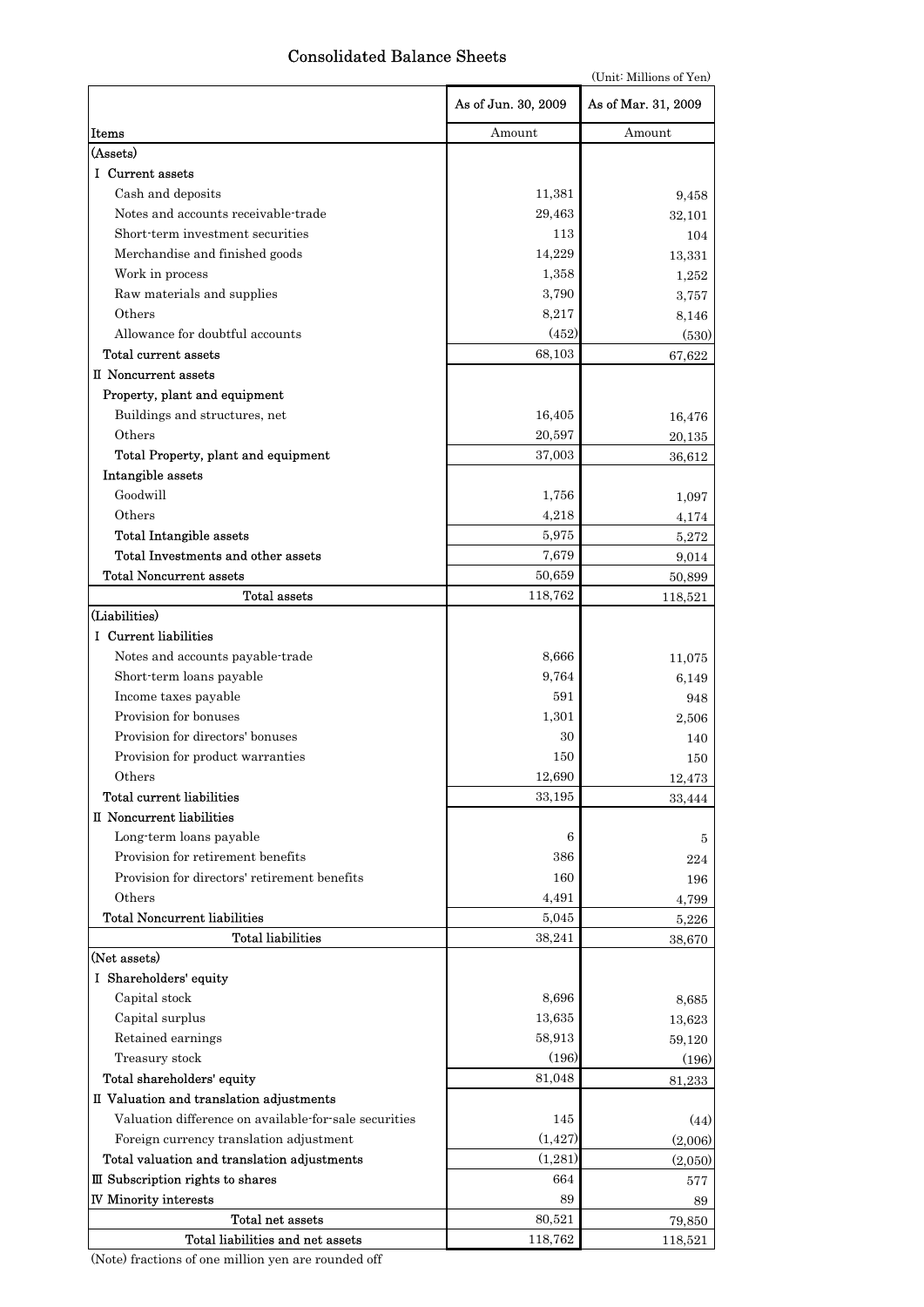# Consolidated Balance Sheets

| (Unit: Millions of Yen) |  |
|-------------------------|--|
|                         |  |

|                                                           | As of Jun. 30, 2009 | As of Mar. 31, 2009 |
|-----------------------------------------------------------|---------------------|---------------------|
| Items                                                     | Amount              | Amount              |
| (Assets)                                                  |                     |                     |
| I Current assets                                          |                     |                     |
| Cash and deposits                                         | 11,381              | 9,458               |
| Notes and accounts receivable-trade                       | 29,463              | 32,101              |
| Short-term investment securities                          | 113                 | 104                 |
| Merchandise and finished goods                            | 14,229              | 13,331              |
| Work in process                                           | 1,358               | 1,252               |
| Raw materials and supplies                                | 3,790               | 3,757               |
| Others                                                    | 8,217               | 8,146               |
| Allowance for doubtful accounts                           | (452)               | (530)               |
| Total current assets                                      | 68,103              | 67,622              |
| II Noncurrent assets                                      |                     |                     |
| Property, plant and equipment                             |                     |                     |
| Buildings and structures, net                             | 16,405              | 16,476              |
| Others                                                    | 20,597              | 20,135              |
| Total Property, plant and equipment                       | 37,003              | 36,612              |
| Intangible assets                                         |                     |                     |
| Goodwill                                                  | 1,756               | 1,097               |
| Others                                                    | 4,218               | 4,174               |
| <b>Total Intangible assets</b>                            | 5,975               | 5,272               |
| Total Investments and other assets                        | 7,679               | 9,014               |
| <b>Total Noncurrent assets</b>                            | 50,659              | 50,899              |
| Total assets                                              | 118,762             | 118,521             |
| (Liabilities)                                             |                     |                     |
| I Current liabilities                                     |                     |                     |
| Notes and accounts payable-trade                          | 8,666               | 11,075              |
| Short-term loans payable                                  | 9,764               | 6,149               |
| Income taxes payable                                      | 591                 | 948                 |
| Provision for bonuses<br>Provision for directors' bonuses | 1,301               | 2,506               |
|                                                           | 30                  | 140                 |
| Provision for product warranties                          | 150                 | 150                 |
| Others<br>Total current liabilities                       | 12,690              | 12,473              |
| II Noncurrent liabilities                                 | 33,195              | 33,444              |
| Long-term loans payable                                   | 6                   |                     |
| Provision for retirement benefits                         | 386                 | 5                   |
| Provision for directors' retirement benefits              | 160                 | 224                 |
| Others                                                    | 4,491               | 196                 |
| <b>Total Noncurrent liabilities</b>                       | 5,045               | 4,799<br>5,226      |
| <b>Total liabilities</b>                                  | 38,241              | 38,670              |
| (Net assets)                                              |                     |                     |
| I Shareholders' equity                                    |                     |                     |
| Capital stock                                             | 8,696               | 8,685               |
| Capital surplus                                           | 13,635              | 13,623              |
| Retained earnings                                         | 58,913              | 59,120              |
| Treasury stock                                            | (196)               | (196)               |
| Total shareholders' equity                                | 81,048              | 81,233              |
| II Valuation and translation adjustments                  |                     |                     |
| Valuation difference on available-for-sale securities     | 145                 | (44)                |
| Foreign currency translation adjustment                   | (1, 427)            | (2,006)             |
| Total valuation and translation adjustments               | (1,281)             | (2,050)             |
| III Subscription rights to shares                         | 664                 | 577                 |
| <b>IV Minority interests</b>                              | 89                  | 89                  |
| Total net assets                                          | 80,521              | 79,850              |
| Total liabilities and net assets                          | 118,762             | 118,521             |

(Note) fractions of one million yen are rounded off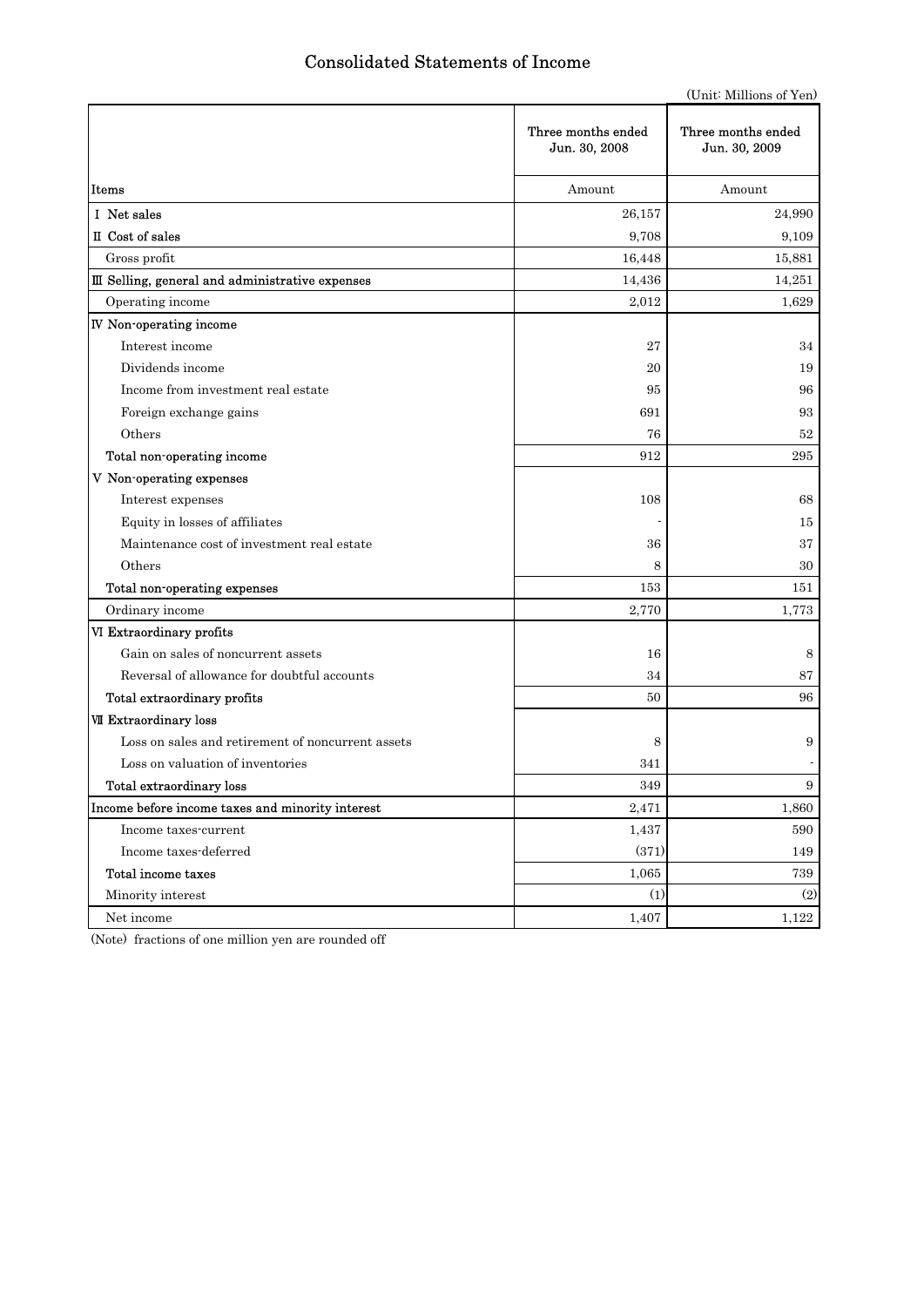# Consolidated Statements of Income

(Unit: Millions of Yen)

|                                                   | Three months ended<br>Jun. 30, 2008 | Three months ended<br>Jun. 30, 2009 |
|---------------------------------------------------|-------------------------------------|-------------------------------------|
| Items                                             | Amount                              | Amount                              |
| I Net sales                                       | 26,157                              | 24,990                              |
| II Cost of sales                                  | 9,708                               | 9,109                               |
| Gross profit                                      | 16,448                              | 15,881                              |
| III Selling, general and administrative expenses  | 14,436                              | 14,251                              |
| Operating income                                  | 2,012                               | 1,629                               |
| <b>IV</b> Non-operating income                    |                                     |                                     |
| Interest income                                   | 27                                  | 34                                  |
| Dividends income                                  | 20                                  | 19                                  |
| Income from investment real estate                | 95                                  | 96                                  |
| Foreign exchange gains                            | 691                                 | 93                                  |
| Others                                            | 76                                  | 52                                  |
| Total non-operating income                        | 912                                 | 295                                 |
| V Non-operating expenses                          |                                     |                                     |
| Interest expenses                                 | 108                                 | 68                                  |
| Equity in losses of affiliates                    |                                     | 15                                  |
| Maintenance cost of investment real estate        | 36                                  | 37                                  |
| Others                                            | 8                                   | 30                                  |
| Total non-operating expenses                      | 153                                 | 151                                 |
| Ordinary income                                   | 2,770                               | 1,773                               |
| VI Extraordinary profits                          |                                     |                                     |
| Gain on sales of noncurrent assets                | 16                                  | 8                                   |
| Reversal of allowance for doubtful accounts       | 34                                  | 87                                  |
| Total extraordinary profits                       | 50                                  | 96                                  |
| <b>VII Extraordinary loss</b>                     |                                     |                                     |
| Loss on sales and retirement of noncurrent assets | 8                                   | 9                                   |
| Loss on valuation of inventories                  | 341                                 |                                     |
| Total extraordinary loss                          | 349                                 | 9                                   |
| Income before income taxes and minority interest  | 2,471                               | 1,860                               |
| Income taxes-current                              | 1,437                               | 590                                 |
| Income taxes-deferred                             | (371)                               | 149                                 |
| Total income taxes                                | 1,065                               | 739                                 |
| Minority interest                                 | (1)                                 | (2)                                 |
| Net income                                        | 1,407                               | 1,122                               |

(Note) fractions of one million yen are rounded off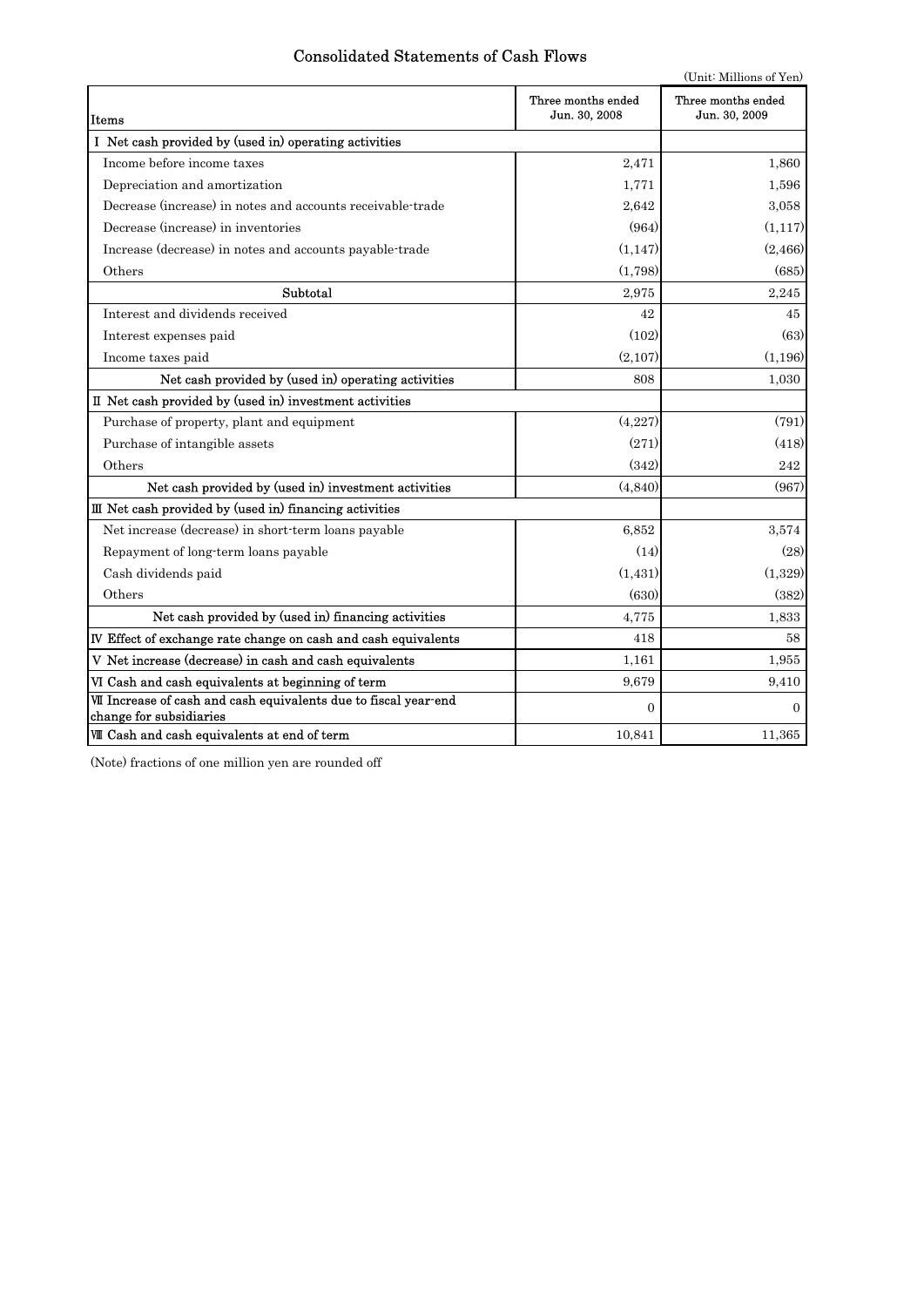# Consolidated Statements of Cash Flows

|                                                                                             | (Unit: Millions of Yen)             |                                     |  |  |  |  |
|---------------------------------------------------------------------------------------------|-------------------------------------|-------------------------------------|--|--|--|--|
| Items                                                                                       | Three months ended<br>Jun. 30, 2008 | Three months ended<br>Jun. 30, 2009 |  |  |  |  |
| I Net cash provided by (used in) operating activities                                       |                                     |                                     |  |  |  |  |
| Income before income taxes                                                                  | 2,471                               | 1,860                               |  |  |  |  |
| Depreciation and amortization                                                               | 1,771                               | 1,596                               |  |  |  |  |
| Decrease (increase) in notes and accounts receivable-trade                                  | 2.642                               | 3,058                               |  |  |  |  |
| Decrease (increase) in inventories                                                          | (964)                               | (1, 117)                            |  |  |  |  |
| Increase (decrease) in notes and accounts payable-trade                                     | (1, 147)                            | (2, 466)                            |  |  |  |  |
| Others                                                                                      | (1,798)                             | (685)                               |  |  |  |  |
| Subtotal                                                                                    | 2,975                               | 2,245                               |  |  |  |  |
| Interest and dividends received                                                             | 42                                  | 45                                  |  |  |  |  |
| Interest expenses paid                                                                      | (102)                               | (63)                                |  |  |  |  |
| Income taxes paid                                                                           | (2,107)                             | (1, 196)                            |  |  |  |  |
| Net cash provided by (used in) operating activities                                         | 808                                 | 1,030                               |  |  |  |  |
| II Net cash provided by (used in) investment activities                                     |                                     |                                     |  |  |  |  |
| Purchase of property, plant and equipment                                                   | (4,227)                             | (791)                               |  |  |  |  |
| Purchase of intangible assets                                                               | (271)                               | (418)                               |  |  |  |  |
| Others                                                                                      | (342)                               | 242                                 |  |  |  |  |
| Net cash provided by (used in) investment activities                                        | (4,840)                             | (967)                               |  |  |  |  |
| III Net cash provided by (used in) financing activities                                     |                                     |                                     |  |  |  |  |
| Net increase (decrease) in short-term loans payable                                         | 6,852                               | 3.574                               |  |  |  |  |
| Repayment of long-term loans payable                                                        | (14)                                | (28)                                |  |  |  |  |
| Cash dividends paid                                                                         | (1, 431)                            | (1,329)                             |  |  |  |  |
| Others                                                                                      | (630)                               | (382)                               |  |  |  |  |
| Net cash provided by (used in) financing activities                                         | 4,775                               | 1,833                               |  |  |  |  |
| IV Effect of exchange rate change on cash and cash equivalents                              | 418                                 | 58                                  |  |  |  |  |
| V Net increase (decrease) in cash and cash equivalents                                      | 1,161                               | 1,955                               |  |  |  |  |
| VI Cash and cash equivalents at beginning of term                                           | 9,679                               | 9,410                               |  |  |  |  |
| VII Increase of cash and cash equivalents due to fiscal year-end<br>change for subsidiaries | $\Omega$                            | $\Omega$                            |  |  |  |  |
| VIII Cash and cash equivalents at end of term                                               | 10,841                              | 11,365                              |  |  |  |  |

(Note) fractions of one million yen are rounded off